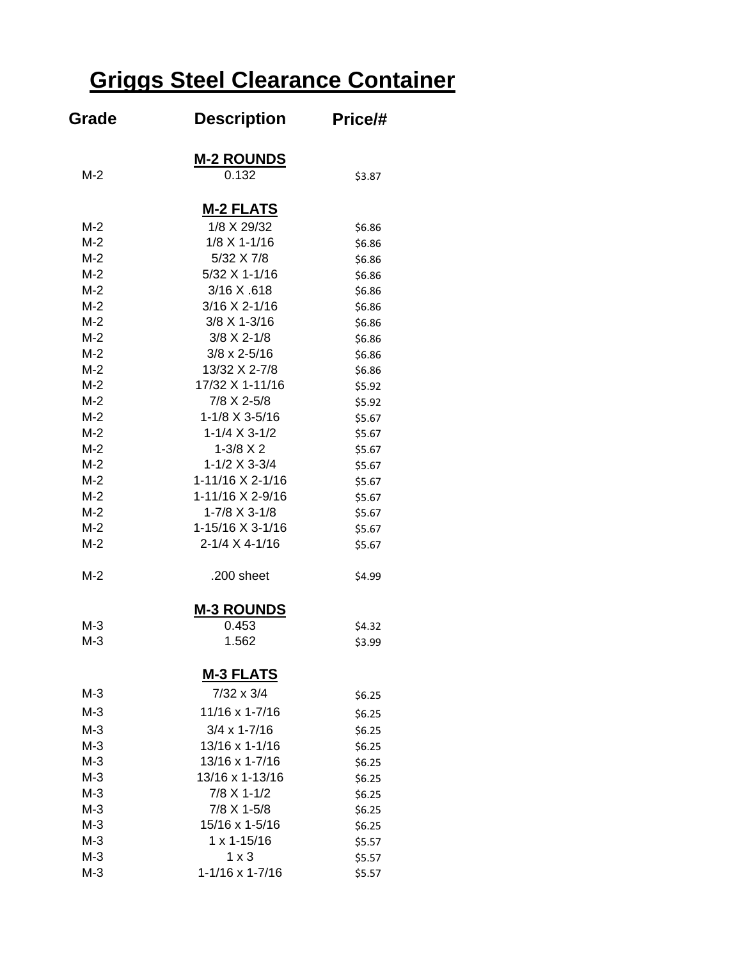# **Griggs Steel Clearance Container**

| Grade | <b>Description</b>    | Price/# |
|-------|-----------------------|---------|
|       | <b>M-2 ROUNDS</b>     |         |
| $M-2$ | 0.132                 | \$3.87  |
|       | <b>M-2 FLATS</b>      |         |
| $M-2$ | 1/8 X 29/32           | \$6.86  |
| $M-2$ | $1/8$ X 1-1/16        | \$6.86  |
| $M-2$ | 5/32 X 7/8            | \$6.86  |
| $M-2$ | 5/32 X 1-1/16         | \$6.86  |
| $M-2$ | 3/16 X .618           | \$6.86  |
| $M-2$ | 3/16 X 2-1/16         | \$6.86  |
| $M-2$ | 3/8 X 1-3/16          | \$6.86  |
| $M-2$ | $3/8$ X 2-1/8         | \$6.86  |
| $M-2$ | $3/8 \times 2 - 5/16$ | \$6.86  |
| $M-2$ | 13/32 X 2-7/8         | \$6.86  |
| $M-2$ | 17/32 X 1-11/16       | \$5.92  |
| $M-2$ | 7/8 X 2-5/8           | \$5.92  |
| $M-2$ | 1-1/8 X 3-5/16        | \$5.67  |
| $M-2$ | $1-1/4 \times 3-1/2$  | \$5.67  |
| $M-2$ | $1-3/8$ X 2           | \$5.67  |
| $M-2$ | $1-1/2$ X 3-3/4       | \$5.67  |
| $M-2$ | 1-11/16 X 2-1/16      | \$5.67  |
| $M-2$ | 1-11/16 X 2-9/16      | \$5.67  |
| $M-2$ | 1-7/8 X 3-1/8         | \$5.67  |
| $M-2$ | 1-15/16 X 3-1/16      | \$5.67  |
| $M-2$ | 2-1/4 X 4-1/16        | \$5.67  |
| $M-2$ | .200 sheet            | \$4.99  |
|       | <u>M-3 ROUNDS</u>     |         |
| $M-3$ | 0.453                 | \$4.32  |
| $M-3$ | 1.562                 | \$3.99  |
|       | <b>M-3 FLATS</b>      |         |
| $M-3$ | $7/32 \times 3/4$     | \$6.25  |
| $M-3$ | 11/16 x 1-7/16        | \$6.25  |
| $M-3$ | $3/4 \times 1 - 7/16$ | \$6.25  |
| $M-3$ | 13/16 x 1-1/16        | \$6.25  |
| $M-3$ | 13/16 x 1-7/16        | \$6.25  |
| $M-3$ | 13/16 x 1-13/16       | \$6.25  |
| $M-3$ | 7/8 X 1-1/2           | \$6.25  |
| $M-3$ | 7/8 X 1-5/8           | \$6.25  |
| $M-3$ | 15/16 x 1-5/16        | \$6.25  |
| $M-3$ | $1 x 1 - 15/16$       | \$5.57  |
| $M-3$ | $1 \times 3$          | \$5.57  |
| $M-3$ | 1-1/16 x 1-7/16       | \$5.57  |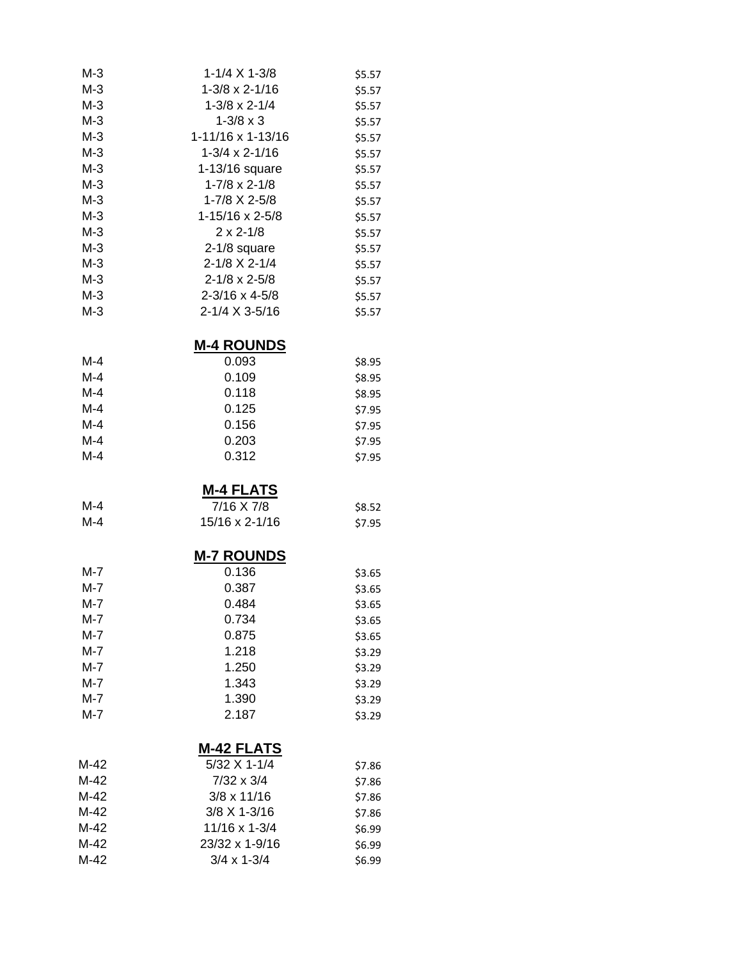| $1 - 1/4 \times 1 - 3/8$  | \$5.57 |
|---------------------------|--------|
| $1 - 3/8 \times 2 - 1/16$ | \$5.57 |
| $1-3/8 \times 2-1/4$      | \$5.57 |
| $1 - 3/8 \times 3$        | \$5.57 |
| 1-11/16 x 1-13/16         | \$5.57 |
| $1-3/4 \times 2-1/16$     | \$5.57 |
| 1-13/16 square            | \$5.57 |
| $1 - 7/8 \times 2 - 1/8$  | \$5.57 |
| 1-7/8 X 2-5/8             | \$5.57 |
| 1-15/16 x 2-5/8           | \$5.57 |
| $2 \times 2 - 1/8$        | \$5.57 |
| $2-1/8$ square            | \$5.57 |
| 2-1/8 X 2-1/4             | \$5.57 |
| $2 - 1/8 \times 2 - 5/8$  | \$5.57 |
| $2 - 3/16 \times 4 - 5/8$ | \$5.57 |
| 2-1/4 X 3-5/16            | \$5.57 |
|                           |        |

## **M-4 ROUNDS**

| $M-4$ | 0.093 | \$8.95 |
|-------|-------|--------|
| M-4   | 0.109 | \$8.95 |
| $M-4$ | 0.118 | \$8.95 |
| M-4   | 0.125 | \$7.95 |
| $M-4$ | 0.156 | \$7.95 |
| $M-4$ | 0.203 | \$7.95 |
| M-4   | 0.312 | \$7.95 |

## **M-4 FLATS**

| M-4 | 7/16 X 7/8              | \$8.52 |
|-----|-------------------------|--------|
| M-4 | $15/16 \times 2 - 1/16$ | \$7.95 |

## **M-7 ROUNDS**

| M-7 | 0.136 | \$3.65 |
|-----|-------|--------|
| M-7 | 0.387 | \$3.65 |
| M-7 | 0.484 | \$3.65 |
| M-7 | 0.734 | \$3.65 |
| M-7 | 0.875 | \$3.65 |
| M-7 | 1.218 | \$3.29 |
| M-7 | 1.250 | \$3.29 |
| M-7 | 1.343 | \$3.29 |
| M-7 | 1.390 | \$3.29 |
| M-7 | 2.187 | \$3.29 |

## **M-42 FLATS**

| M-42 | 5/32 X 1-1/4         | \$7.86 |
|------|----------------------|--------|
| M-42 | $7/32 \times 3/4$    | \$7.86 |
| M-42 | $3/8 \times 11/16$   | \$7.86 |
| M-42 | $3/8$ X 1-3/16       | \$7.86 |
| M-42 | $11/16 \times 1-3/4$ | \$6.99 |
| M-42 | 23/32 x 1-9/16       | \$6.99 |
| M-42 | $3/4 \times 1 - 3/4$ | \$6.99 |